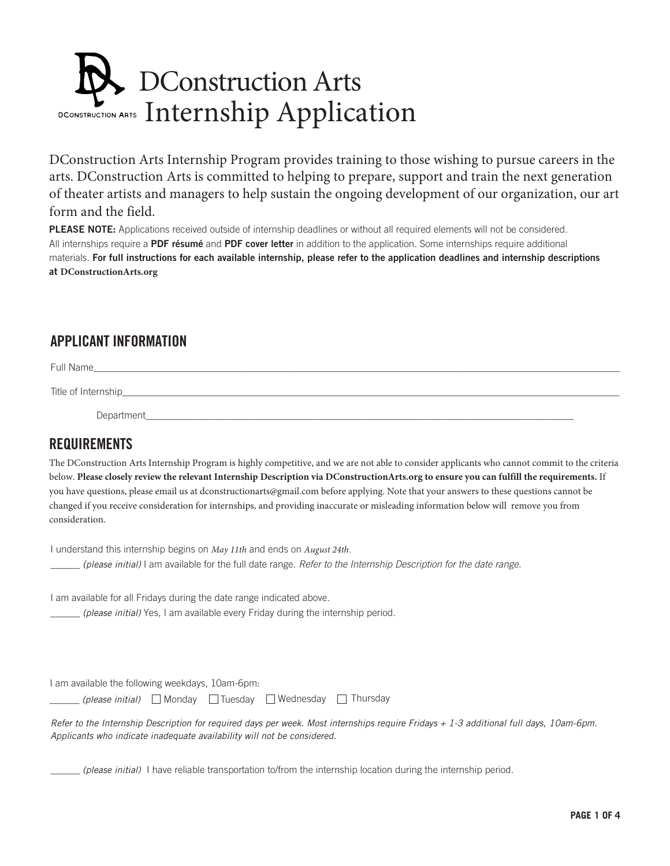# DConstruction Arts DCONSTRUCTION ARTS Internship Application

DConstruction Arts Internship Program provides training to those wishing to pursue careers in the arts. DConstruction Arts is committed to helping to prepare, support and train the next generation of theater artists and managers to help sustain the ongoing development of our organization, our art form and the field.

PLEASE NOTE: Applications received outside of internship deadlines or without all required elements will not be considered. All internships require a PDF résumé and PDF cover letter in addition to the application. Some internships require additional materials. For full instructions for each available internship, please refer to the application deadlines and internship descriptions at **DConstructionArts.org**

### APPLICANT INFORMATION

Full Name\_\_\_\_\_\_\_\_\_\_\_\_\_\_\_\_\_\_\_\_\_\_\_\_\_\_\_\_\_\_\_\_\_\_\_\_\_\_\_\_\_\_\_\_\_\_\_\_\_\_\_\_\_\_\_\_\_\_\_\_\_\_\_\_\_\_\_\_\_\_\_\_\_\_\_\_\_\_\_\_\_\_\_\_\_\_\_\_\_\_\_\_\_\_\_\_\_\_\_\_\_\_\_\_\_\_\_

Title of Internship

Department

### REQUIREMENTS

The DConstruction Arts Internship Program is highly competitive, and we are not able to consider applicants who cannot commit to the criteria below. **Please closely review the relevant Internship Description via DConstructionArts.org to ensure you can fulfill the requirements.** If you have questions, please email us at dconstructionarts@gmail.com before applying. Note that your answers to these questions cannot be changed if you receive consideration for internships, and providing inaccurate or misleading information below will remove you from consideration.

I understand this internship begins on *May 11th* and ends on *August 24th*.

\_\_\_\_\_\_ *(please initial)* I am available for the full date range. *Refer to the Internship Description for the date range.*

I am available for all Fridays during the date range indicated above.

\_\_\_\_\_\_ *(please initial)* Yes, I am available every Friday during the internship period.

I am available the following weekdays, 10am-6pm:

(please initial) Monday □ Tuesday □ Wednesday □ Thursday

*Refer to the Internship Description for required days per week. Most internships require Fridays + 1-3 additional full days, 10am-6pm. Applicants who indicate inadequate availability will not be considered.*

\_\_\_\_\_\_ *(please initial)* I have reliable transportation to/from the internship location during the internship period.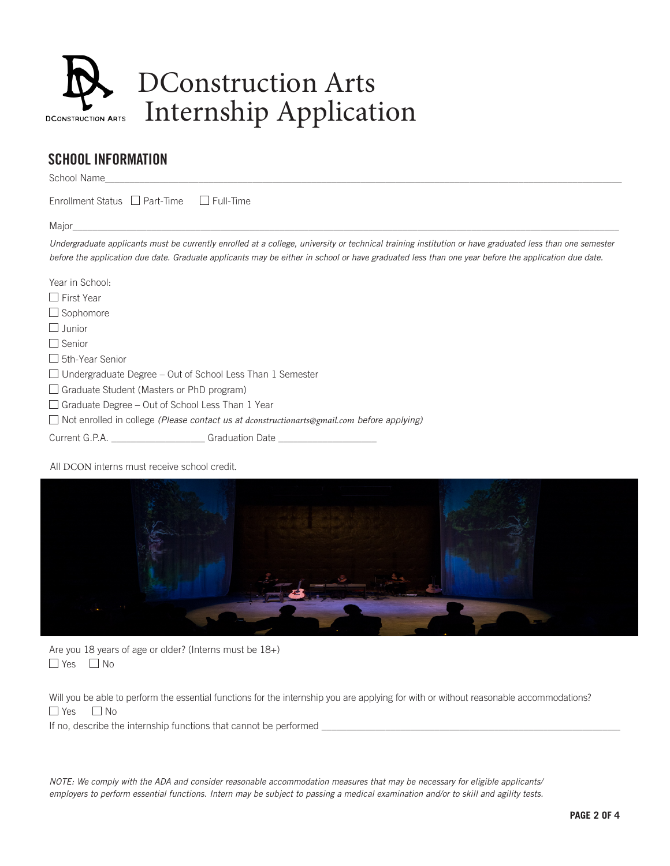

## DConstruction Arts Internship Application

### SCHOOL INFORMATION

School Name\_\_\_\_\_\_\_\_\_\_\_\_\_\_\_\_\_\_\_\_\_\_\_\_\_\_\_\_\_\_\_\_\_\_\_\_\_\_\_\_\_\_\_\_\_\_\_\_\_\_\_\_\_\_\_\_\_\_\_\_\_\_\_\_\_\_\_\_\_\_\_\_\_\_\_\_\_\_\_\_\_\_\_\_\_\_\_\_\_\_\_\_\_\_\_\_\_\_\_\_\_\_\_\_\_

Enrollment Status  $\Box$  Part-Time  $\Box$  Full-Time

Major\_\_\_\_\_\_\_\_\_\_\_\_\_\_\_\_\_\_\_\_\_\_\_\_\_\_\_\_\_\_\_\_\_\_\_\_\_\_\_\_\_\_\_\_\_\_\_\_\_\_\_\_\_\_\_\_\_\_\_\_\_\_\_\_\_\_\_\_\_\_\_\_\_\_\_\_\_\_\_\_\_\_\_\_\_\_\_\_\_\_\_\_\_\_\_\_\_\_\_\_\_\_\_\_\_\_\_\_\_\_\_

*Undergraduate applicants must be currently enrolled at a college, university or technical training institution or have graduated less than one semester before the application due date. Graduate applicants may be either in school or have graduated less than one year before the application due date.*

| Year in School:                                                                                   |                 |
|---------------------------------------------------------------------------------------------------|-----------------|
| $\Box$ First Year                                                                                 |                 |
| $\Box$ Sophomore                                                                                  |                 |
| $\Box$ Junior                                                                                     |                 |
| $\Box$ Senior                                                                                     |                 |
| $\Box$ 5th-Year Senior                                                                            |                 |
| $\Box$ Undergraduate Degree – Out of School Less Than 1 Semester                                  |                 |
| $\Box$ Graduate Student (Masters or PhD program)                                                  |                 |
| $\Box$ Graduate Degree – Out of School Less Than 1 Year                                           |                 |
| $\Box$ Not enrolled in college (Please contact us at dconstructionarts@gmail.com before applying) |                 |
|                                                                                                   | Graduation Date |

All DCON interns must receive school credit.



Are you 18 years of age or older? (Interns must be 18+)  $\Box$  Yes  $\Box$  No

Will you be able to perform the essential functions for the internship you are applying for with or without reasonable accommodations?  $\Box$  Yes  $\Box$  No

If no, describe the internship functions that cannot be performed \_\_\_\_\_\_\_\_\_\_\_\_\_\_\_

*NOTE: We comply with the ADA and consider reasonable accommodation measures that may be necessary for eligible applicants/ employers to perform essential functions. Intern may be subject to passing a medical examination and/or to skill and agility tests.*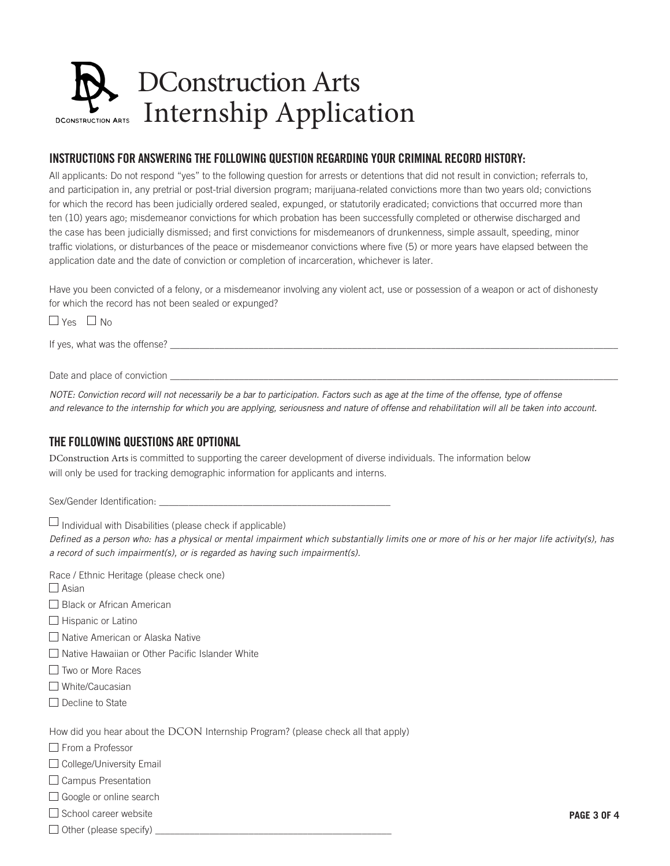### DConstruction Arts Internship Application**DCONSTRUCTION ARTS**

### INSTRUCTIONS FOR ANSWERING THE FOLLOWING QUESTION REGARDING YOUR CRIMINAL RECORD HISTORY:

All applicants: Do not respond "yes" to the following question for arrests or detentions that did not result in conviction; referrals to, and participation in, any pretrial or post-trial diversion program; marijuana-related convictions more than two years old; convictions for which the record has been judicially ordered sealed, expunged, or statutorily eradicated; convictions that occurred more than ten (10) years ago; misdemeanor convictions for which probation has been successfully completed or otherwise discharged and the case has been judicially dismissed; and frst convictions for misdemeanors of drunkenness, simple assault, speeding, minor traffc violations, or disturbances of the peace or misdemeanor convictions where fve (5) or more years have elapsed between the application date and the date of conviction or completion of incarceration, whichever is later.

Have you been convicted of a felony, or a misdemeanor involving any violent act, use or possession of a weapon or act of dishonesty for which the record has not been sealed or expunged?

 $\Box$  Yes  $\Box$  No

If yes, what was the offense?

Date and place of conviction

*NOTE: Conviction record will not necessarily be a bar to participation. Factors such as age at the time of the offense, type of offense and relevance to the internship for which you are applying, seriousness and nature of offense and rehabilitation will all be taken into account.*

### THE FOLLOWING QUESTIONS ARE OPTIONAL

DConstruction Arts is committed to supporting the career development of diverse individuals. The information below will only be used for tracking demographic information for applicants and interns.

Sex/Gender Identification:

 $\Box$  Individual with Disabilities (please check if applicable)

*De*f*ned as a person who: has a physical or mental impairment which substantially limits one or more of his or her major life activity(s), has a record of such impairment(s), or is regarded as having such impairment(s).*

Race / Ethnic Heritage (please check one)

 $\square$  Asian

□ Black or African American

 $\Box$  Hispanic or Latino

□ Native American or Alaska Native

 $\Box$  Native Hawaiian or Other Pacific Islander White

- Two or More Races
- □ White/Caucasian
- $\square$  Decline to State

How did you hear about the DCON Internship Program? (please check all that apply)

□ From a Professor

 $\Box$  College/University Email

 $\Box$  Campus Presentation

□ Google or online search

 $\square$  School career website

 $\Box$  Other (please specify)